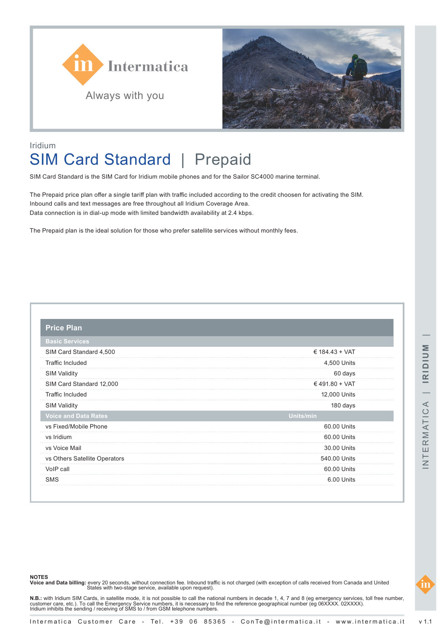



## Iridium SIM Card Standard | Prepaid

SIM Card Standard is the SIM Card for Iridium mobile phones and for the Sailor SC4000 marine terminal.

The Prepaid price plan offer a single tariff plan with traffic included according to the credit choosen for activating the SIM. Inbound calls and text messages are free throughout all Iridium Coverage Area. Data connection is in dial-up mode with limited bandwidth availability at 2.4 kbps.

The Prepaid plan is the ideal solution for those who prefer satellite services without monthly fees.

| <b>Price Plan</b>             |                |  |
|-------------------------------|----------------|--|
| <b>Basic Services</b>         |                |  |
| SIM Card Standard 4,500       | € 184.43 + VAT |  |
| <b>Traffic Included</b>       | 4,500 Units    |  |
| <b>SIM Validity</b>           | 60 days        |  |
| SIM Card Standard 12,000      | €491.80 + VAT  |  |
| <b>Traffic Included</b>       | 12,000 Units   |  |
| <b>SIM Validity</b>           | 180 days       |  |
| <b>Voice and Data Rates</b>   | Units/min      |  |
| vs Fixed/Mobile Phone         | 60.00 Units    |  |
| vs Iridium                    | 60.00 Units    |  |
| vs Voice Mail                 | 30.00 Units    |  |
| vs Others Satellite Operators | 540.00 Units   |  |
| VoIP call                     | 60.00 Units    |  |
| <b>SMS</b>                    | 6.00 Units     |  |

**NOTES**

**Voice and Data billing:** every 20 seconds, without connection fee. Inbound traffic is not charged (with exception of calls received from Canada and United<br>States with two-stage service, available upon request).

**N.B.:** with Iridium SIM Cards, in satellite mode, it is not possible to call the national numbers in decade 1, 4, 7 and 8 (eg emergency services, toll free number,<br>customer care, etc.). To call the Emergency Service numbe